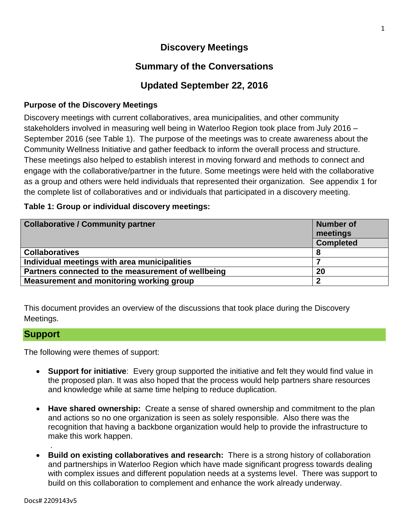# **Discovery Meetings**

# **Summary of the Conversations**

# **Updated September 22, 2016**

### **Purpose of the Discovery Meetings**

Discovery meetings with current collaboratives, area municipalities, and other community stakeholders involved in measuring well being in Waterloo Region took place from July 2016 – September 2016 (see Table 1). The purpose of the meetings was to create awareness about the Community Wellness Initiative and gather feedback to inform the overall process and structure. These meetings also helped to establish interest in moving forward and methods to connect and engage with the collaborative/partner in the future. Some meetings were held with the collaborative as a group and others were held individuals that represented their organization. See appendix 1 for the complete list of collaboratives and or individuals that participated in a discovery meeting.

#### **Table 1: Group or individual discovery meetings:**

| <b>Collaborative / Community partner</b>           | Number of<br>meetings |  |
|----------------------------------------------------|-----------------------|--|
|                                                    | <b>Completed</b>      |  |
| <b>Collaboratives</b>                              |                       |  |
| Individual meetings with area municipalities       |                       |  |
| Partners connected to the measurement of wellbeing | 20                    |  |
| Measurement and monitoring working group           | 2                     |  |

This document provides an overview of the discussions that took place during the Discovery Meetings.

#### **Support**

The following were themes of support:

- **Support for initiative**: Every group supported the initiative and felt they would find value in the proposed plan. It was also hoped that the process would help partners share resources and knowledge while at same time helping to reduce duplication.
- **Have shared ownership:** Create a sense of shared ownership and commitment to the plan and actions so no one organization is seen as solely responsible. Also there was the recognition that having a backbone organization would help to provide the infrastructure to make this work happen.
- **Build on existing collaboratives and research:** There is a strong history of collaboration and partnerships in Waterloo Region which have made significant progress towards dealing with complex issues and different population needs at a systems level. There was support to build on this collaboration to complement and enhance the work already underway.

.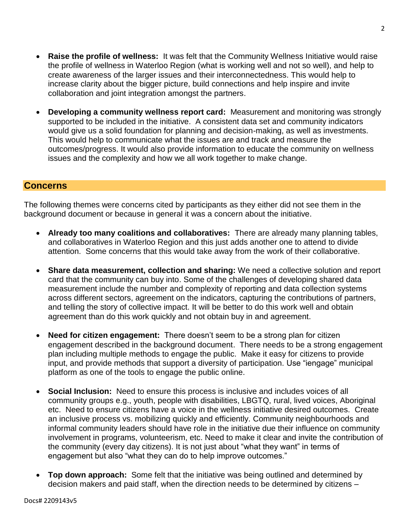- **Raise the profile of wellness:** It was felt that the Community Wellness Initiative would raise the profile of wellness in Waterloo Region (what is working well and not so well), and help to create awareness of the larger issues and their interconnectedness. This would help to increase clarity about the bigger picture, build connections and help inspire and invite collaboration and joint integration amongst the partners.
- **Developing a community wellness report card:** Measurement and monitoring was strongly supported to be included in the initiative. A consistent data set and community indicators would give us a solid foundation for planning and decision-making, as well as investments. This would help to communicate what the issues are and track and measure the outcomes/progress. It would also provide information to educate the community on wellness issues and the complexity and how we all work together to make change.

### **Concerns**

The following themes were concerns cited by participants as they either did not see them in the background document or because in general it was a concern about the initiative.

- **Already too many coalitions and collaboratives:** There are already many planning tables, and collaboratives in Waterloo Region and this just adds another one to attend to divide attention. Some concerns that this would take away from the work of their collaborative.
- **Share data measurement, collection and sharing:** We need a collective solution and report card that the community can buy into. Some of the challenges of developing shared data measurement include the number and complexity of reporting and data collection systems across different sectors, agreement on the indicators, capturing the contributions of partners, and telling the story of collective impact. It will be better to do this work well and obtain agreement than do this work quickly and not obtain buy in and agreement.
- **Need for citizen engagement:** There doesn't seem to be a strong plan for citizen engagement described in the background document. There needs to be a strong engagement plan including multiple methods to engage the public. Make it easy for citizens to provide input, and provide methods that support a diversity of participation. Use "iengage" municipal platform as one of the tools to engage the public online.
- **Social Inclusion:** Need to ensure this process is inclusive and includes voices of all community groups e.g., youth, people with disabilities, LBGTQ, rural, lived voices, Aboriginal etc. Need to ensure citizens have a voice in the wellness initiative desired outcomes. Create an inclusive process vs. mobilizing quickly and efficiently. Community neighbourhoods and informal community leaders should have role in the initiative due their influence on community involvement in programs, volunteerism, etc. Need to make it clear and invite the contribution of the community (every day citizens). It is not just about "what they want" in terms of engagement but also "what they can do to help improve outcomes."
- **Top down approach:** Some felt that the initiative was being outlined and determined by decision makers and paid staff, when the direction needs to be determined by citizens –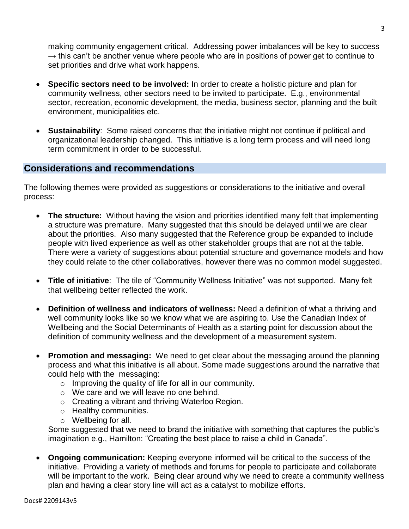making community engagement critical. Addressing power imbalances will be key to success  $\rightarrow$  this can't be another venue where people who are in positions of power get to continue to set priorities and drive what work happens.

- **Specific sectors need to be involved:** In order to create a holistic picture and plan for community wellness, other sectors need to be invited to participate. E.g., environmental sector, recreation, economic development, the media, business sector, planning and the built environment, municipalities etc.
- **Sustainability**: Some raised concerns that the initiative might not continue if political and organizational leadership changed. This initiative is a long term process and will need long term commitment in order to be successful.

## **Considerations and recommendations**

The following themes were provided as suggestions or considerations to the initiative and overall process:

- **The structure:** Without having the vision and priorities identified many felt that implementing a structure was premature. Many suggested that this should be delayed until we are clear about the priorities. Also many suggested that the Reference group be expanded to include people with lived experience as well as other stakeholder groups that are not at the table. There were a variety of suggestions about potential structure and governance models and how they could relate to the other collaboratives, however there was no common model suggested.
- **Title of initiative**: The tile of "Community Wellness Initiative" was not supported. Many felt that wellbeing better reflected the work.
- **Definition of wellness and indicators of wellness:** Need a definition of what a thriving and well community looks like so we know what we are aspiring to. Use the Canadian Index of Wellbeing and the Social Determinants of Health as a starting point for discussion about the definition of community wellness and the development of a measurement system.
- **Promotion and messaging:** We need to get clear about the messaging around the planning process and what this initiative is all about. Some made suggestions around the narrative that could help with the messaging:
	- $\circ$  Improving the quality of life for all in our community.
	- o We care and we will leave no one behind.
	- o Creating a vibrant and thriving Waterloo Region.
	- o Healthy communities.
	- o Wellbeing for all.

Some suggested that we need to brand the initiative with something that captures the public's imagination e.g., Hamilton: "Creating the best place to raise a child in Canada".

 **Ongoing communication:** Keeping everyone informed will be critical to the success of the initiative. Providing a variety of methods and forums for people to participate and collaborate will be important to the work. Being clear around why we need to create a community wellness plan and having a clear story line will act as a catalyst to mobilize efforts.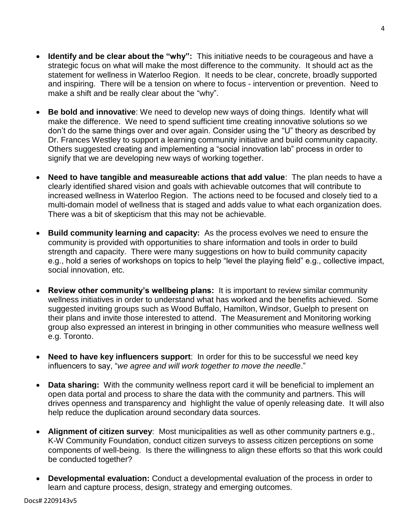- **Identify and be clear about the "why":** This initiative needs to be courageous and have a strategic focus on what will make the most difference to the community. It should act as the statement for wellness in Waterloo Region. It needs to be clear, concrete, broadly supported and inspiring. There will be a tension on where to focus - intervention or prevention. Need to make a shift and be really clear about the "why".
- **Be bold and innovative**: We need to develop new ways of doing things. Identify what will make the difference. We need to spend sufficient time creating innovative solutions so we don't do the same things over and over again. Consider using the "U" theory as described by Dr. Frances Westley to support a learning community initiative and build community capacity. Others suggested creating and implementing a "social innovation lab" process in order to signify that we are developing new ways of working together.
- **Need to have tangible and measureable actions that add value**: The plan needs to have a clearly identified shared vision and goals with achievable outcomes that will contribute to increased wellness in Waterloo Region. The actions need to be focused and closely tied to a multi-domain model of wellness that is staged and adds value to what each organization does. There was a bit of skepticism that this may not be achievable.
- **Build community learning and capacity:** As the process evolves we need to ensure the community is provided with opportunities to share information and tools in order to build strength and capacity. There were many suggestions on how to build community capacity e.g., hold a series of workshops on topics to help "level the playing field" e.g., collective impact, social innovation, etc.
- **Review other community's wellbeing plans:** It is important to review similar community wellness initiatives in order to understand what has worked and the benefits achieved. Some suggested inviting groups such as Wood Buffalo, Hamilton, Windsor, Guelph to present on their plans and invite those interested to attend. The Measurement and Monitoring working group also expressed an interest in bringing in other communities who measure wellness well e.g. Toronto.
- **Need to have key influencers support**: In order for this to be successful we need key influencers to say, "*we agree and will work together to move the needle*."
- **Data sharing:** With the community wellness report card it will be beneficial to implement an open data portal and process to share the data with the community and partners. This will drives openness and transparency and highlight the value of openly releasing date. It will also help reduce the duplication around secondary data sources.
- **Alignment of citizen survey**: Most municipalities as well as other community partners e.g., K-W Community Foundation, conduct citizen surveys to assess citizen perceptions on some components of well-being. Is there the willingness to align these efforts so that this work could be conducted together?
- **Developmental evaluation:** Conduct a developmental evaluation of the process in order to learn and capture process, design, strategy and emerging outcomes.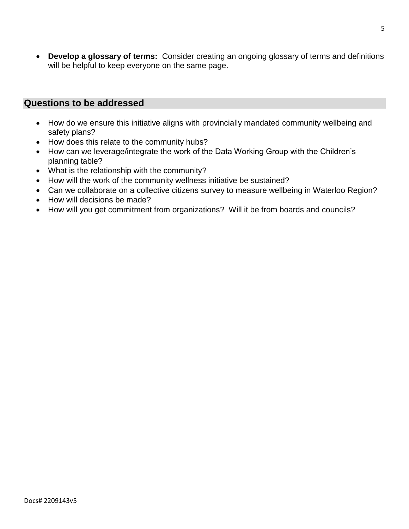**Develop a glossary of terms:** Consider creating an ongoing glossary of terms and definitions will be helpful to keep everyone on the same page.

### **Questions to be addressed**

- How do we ensure this initiative aligns with provincially mandated community wellbeing and safety plans?
- How does this relate to the community hubs?
- How can we leverage/integrate the work of the Data Working Group with the Children's planning table?
- What is the relationship with the community?
- How will the work of the community wellness initiative be sustained?
- Can we collaborate on a collective citizens survey to measure wellbeing in Waterloo Region?
- How will decisions be made?
- How will you get commitment from organizations? Will it be from boards and councils?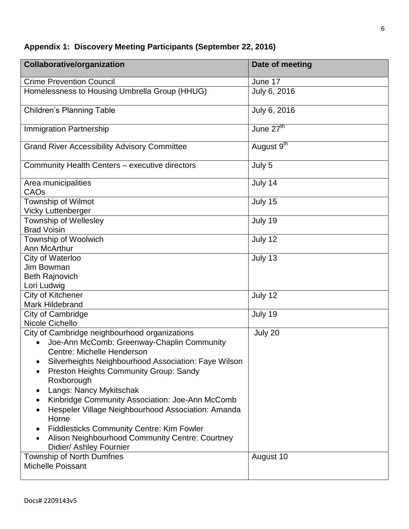|  |  |  |  | Appendix 1: Discovery Meeting Participants (September 22, 2016) |  |
|--|--|--|--|-----------------------------------------------------------------|--|
|--|--|--|--|-----------------------------------------------------------------|--|

| <b>Collaborative/organization</b>                                                                                                                                                                                                                                                                                                                                                                                                                                                                                                                                                        | Date of meeting        |
|------------------------------------------------------------------------------------------------------------------------------------------------------------------------------------------------------------------------------------------------------------------------------------------------------------------------------------------------------------------------------------------------------------------------------------------------------------------------------------------------------------------------------------------------------------------------------------------|------------------------|
| <b>Crime Prevention Council</b>                                                                                                                                                                                                                                                                                                                                                                                                                                                                                                                                                          | June 17                |
| Homelessness to Housing Umbrella Group (HHUG)                                                                                                                                                                                                                                                                                                                                                                                                                                                                                                                                            | July 6, 2016           |
| <b>Children's Planning Table</b>                                                                                                                                                                                                                                                                                                                                                                                                                                                                                                                                                         | July 6, 2016           |
| <b>Immigration Partnership</b>                                                                                                                                                                                                                                                                                                                                                                                                                                                                                                                                                           | June $27th$            |
| <b>Grand River Accessibility Advisory Committee</b>                                                                                                                                                                                                                                                                                                                                                                                                                                                                                                                                      | August 9 <sup>th</sup> |
| Community Health Centers - executive directors                                                                                                                                                                                                                                                                                                                                                                                                                                                                                                                                           | July 5                 |
| Area municipalities<br>CAOs                                                                                                                                                                                                                                                                                                                                                                                                                                                                                                                                                              | July 14                |
| Township of Wilmot<br><b>Vicky Luttenberger</b>                                                                                                                                                                                                                                                                                                                                                                                                                                                                                                                                          | July 15                |
| <b>Township of Wellesley</b><br><b>Brad Voisin</b>                                                                                                                                                                                                                                                                                                                                                                                                                                                                                                                                       | July 19                |
| Township of Woolwich<br>Ann McArthur                                                                                                                                                                                                                                                                                                                                                                                                                                                                                                                                                     | July 12                |
| City of Waterloo<br>Jim Bowman<br><b>Beth Rajnovich</b>                                                                                                                                                                                                                                                                                                                                                                                                                                                                                                                                  | July 13                |
| Lori Ludwig<br>City of Kitchener<br><b>Mark Hildebrand</b>                                                                                                                                                                                                                                                                                                                                                                                                                                                                                                                               | July 12                |
| City of Cambridge<br>Nicole Cichello                                                                                                                                                                                                                                                                                                                                                                                                                                                                                                                                                     | July 19                |
| City of Cambridge neighbourhood organizations<br>Joe-Ann McComb: Greenway-Chaplin Community<br>Centre: Michelle Henderson<br>Silverheights Neighbourhood Association: Faye Wilson<br><b>Preston Heights Community Group: Sandy</b><br>Roxborough<br>Langs: Nancy Mykitschak<br>$\bullet$<br>Kinbridge Community Association: Joe-Ann McComb<br>$\bullet$<br>Hespeler Village Neighbourhood Association: Amanda<br>٠<br>Horne<br><b>Fiddlesticks Community Centre: Kim Fowler</b><br>$\bullet$<br>Alison Neighbourhood Community Centre: Courtney<br>$\bullet$<br>Didier/ Ashley Fournier | July 20                |
| <b>Township of North Dumfries</b><br><b>Michelle Poissant</b>                                                                                                                                                                                                                                                                                                                                                                                                                                                                                                                            | August 10              |